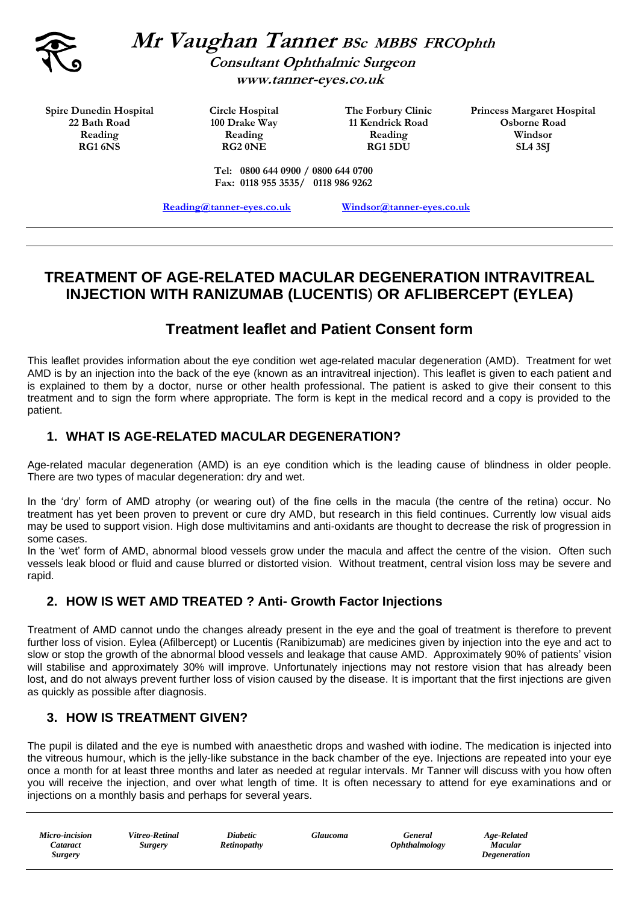

**Mr Vaughan Tanner BSc MBBS FRCOphth Consultant Ophthalmic Surgeon**

 **www.tanner-eyes.co.uk**

**Spire Dunedin Hospital 22 Bath Road Reading RG1 6NS**

**Circle Hospital 100 Drake Way Reading RG2 0NE**

**The Forbury Clinic 11 Kendrick Road Reading RG1 5DU**

**Princess Margaret Hospital Osborne Road Windsor SL4 3SJ**

**Tel: 0800 644 0900 / 0800 644 0700 Fax: 0118 955 3535/ 0118 986 9262**

**[Reading@tanner-eyes.co.uk](mailto:Windsor@tanner-eyes.co.uk) [Windsor@tanner-eyes.co.uk](mailto:Reading@tanner-eyes.co.uk)**

# **TREATMENT OF AGE-RELATED MACULAR DEGENERATION INTRAVITREAL INJECTION WITH RANIZUMAB (LUCENTIS**) **OR AFLIBERCEPT (EYLEA)**

# **Treatment leaflet and Patient Consent form**

This leaflet provides information about the eye condition wet age-related macular degeneration (AMD). Treatment for wet AMD is by an injection into the back of the eye (known as an intravitreal injection). This leaflet is given to each patient and is explained to them by a doctor, nurse or other health professional. The patient is asked to give their consent to this treatment and to sign the form where appropriate. The form is kept in the medical record and a copy is provided to the patient.

## **1. WHAT IS AGE-RELATED MACULAR DEGENERATION?**

Age-related macular degeneration (AMD) is an eye condition which is the leading cause of blindness in older people. There are two types of macular degeneration: dry and wet.

In the 'dry' form of AMD atrophy (or wearing out) of the fine cells in the macula (the centre of the retina) occur. No treatment has yet been proven to prevent or cure dry AMD, but research in this field continues. Currently low visual aids may be used to support vision. High dose multivitamins and anti-oxidants are thought to decrease the risk of progression in some cases.

In the 'wet' form of AMD, abnormal blood vessels grow under the macula and affect the centre of the vision. Often such vessels leak blood or fluid and cause blurred or distorted vision. Without treatment, central vision loss may be severe and rapid.

## **2. HOW IS WET AMD TREATED ? Anti- Growth Factor Injections**

Treatment of AMD cannot undo the changes already present in the eye and the goal of treatment is therefore to prevent further loss of vision. Eylea (Afilbercept) or Lucentis (Ranibizumab) are medicines given by injection into the eye and act to slow or stop the growth of the abnormal blood vessels and leakage that cause AMD. Approximately 90% of patients' vision will stabilise and approximately 30% will improve. Unfortunately injections may not restore vision that has already been lost, and do not always prevent further loss of vision caused by the disease. It is important that the first injections are given as quickly as possible after diagnosis.

### **3. HOW IS TREATMENT GIVEN?**

The pupil is dilated and the eye is numbed with anaesthetic drops and washed with iodine. The medication is injected into the vitreous humour, which is the jelly-like substance in the back chamber of the eye. Injections are repeated into your eye once a month for at least three months and later as needed at regular intervals. Mr Tanner will discuss with you how often you will receive the injection, and over what length of time. It is often necessary to attend for eye examinations and or injections on a monthly basis and perhaps for several years.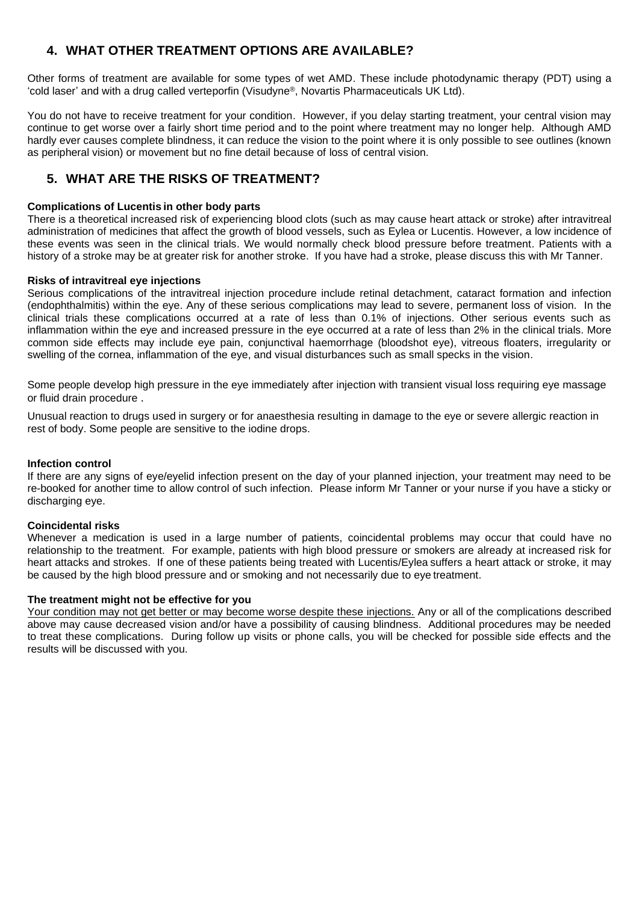## **4. WHAT OTHER TREATMENT OPTIONS ARE AVAILABLE?**

Other forms of treatment are available for some types of wet AMD. These include photodynamic therapy (PDT) using a 'cold laser' and with a drug called verteporfin (Visudyne®, Novartis Pharmaceuticals UK Ltd).

You do not have to receive treatment for your condition. However, if you delay starting treatment, your central vision may continue to get worse over a fairly short time period and to the point where treatment may no longer help. Although AMD hardly ever causes complete blindness, it can reduce the vision to the point where it is only possible to see outlines (known as peripheral vision) or movement but no fine detail because of loss of central vision.

### **5. WHAT ARE THE RISKS OF TREATMENT?**

#### **Complications of Lucentis in other body parts**

There is a theoretical increased risk of experiencing blood clots (such as may cause heart attack or stroke) after intravitreal administration of medicines that affect the growth of blood vessels, such as Eylea or Lucentis. However, a low incidence of these events was seen in the clinical trials. We would normally check blood pressure before treatment. Patients with a history of a stroke may be at greater risk for another stroke. If you have had a stroke, please discuss this with Mr Tanner.

#### **Risks of intravitreal eye injections**

Serious complications of the intravitreal injection procedure include retinal detachment, cataract formation and infection (endophthalmitis) within the eye. Any of these serious complications may lead to severe, permanent loss of vision. In the clinical trials these complications occurred at a rate of less than 0.1% of injections. Other serious events such as inflammation within the eye and increased pressure in the eye occurred at a rate of less than 2% in the clinical trials. More common side effects may include eye pain, conjunctival haemorrhage (bloodshot eye), vitreous floaters, irregularity or swelling of the cornea, inflammation of the eye, and visual disturbances such as small specks in the vision.

Some people develop high pressure in the eye immediately after injection with transient visual loss requiring eye massage or fluid drain procedure .

Unusual reaction to drugs used in surgery or for anaesthesia resulting in damage to the eye or severe allergic reaction in rest of body. Some people are sensitive to the iodine drops.

#### **Infection control**

If there are any signs of eye/eyelid infection present on the day of your planned injection, your treatment may need to be re-booked for another time to allow control of such infection. Please inform Mr Tanner or your nurse if you have a sticky or discharging eye.

#### **Coincidental risks**

Whenever a medication is used in a large number of patients, coincidental problems may occur that could have no relationship to the treatment. For example, patients with high blood pressure or smokers are already at increased risk for heart attacks and strokes. If one of these patients being treated with Lucentis/Eylea suffers a heart attack or stroke, it may be caused by the high blood pressure and or smoking and not necessarily due to eye treatment.

#### **The treatment might not be effective for you**

Your condition may not get better or may become worse despite these injections. Any or all of the complications described above may cause decreased vision and/or have a possibility of causing blindness. Additional procedures may be needed to treat these complications. During follow up visits or phone calls, you will be checked for possible side effects and the results will be discussed with you.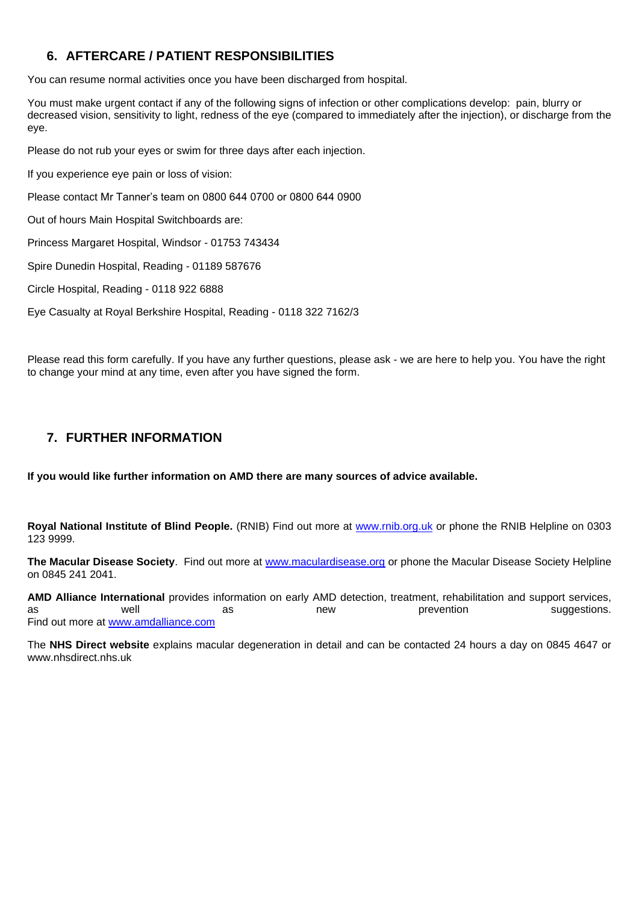## **6. AFTERCARE / PATIENT RESPONSIBILITIES**

You can resume normal activities once you have been discharged from hospital.

You must make urgent contact if any of the following signs of infection or other complications develop: pain, blurry or decreased vision, sensitivity to light, redness of the eye (compared to immediately after the injection), or discharge from the eye.

Please do not rub your eyes or swim for three days after each injection.

If you experience eye pain or loss of vision:

Please contact Mr Tanner's team on 0800 644 0700 or 0800 644 0900

Out of hours Main Hospital Switchboards are:

Princess Margaret Hospital, Windsor - 01753 743434

Spire Dunedin Hospital, Reading - 01189 587676

Circle Hospital, Reading - 0118 922 6888

Eye Casualty at Royal Berkshire Hospital, Reading - 0118 322 7162/3

Please read this form carefully. If you have any further questions, please ask - we are here to help you. You have the right to change your mind at any time, even after you have signed the form.

### **7. FURTHER INFORMATION**

**If you would like further information on AMD there are many sources of advice available.**

**Royal National Institute of Blind People.** (RNIB) Find out more at [www.rnib.org.uk](http://www.beamdaware.co.uk/exit.aspx?URL=http://www.rnib.org.uk) or phone the RNIB Helpline on 0303 123 9999.

**The Macular Disease Society**. Find out more at [www.maculardisease.org](http://www.beamdaware.co.uk/exit.aspx?URL=http://www.maculardisease.org) or phone the Macular Disease Society Helpline on 0845 241 2041.

**AMD Alliance International** provides information on early AMD detection, treatment, rehabilitation and support services, as as well as hew prevention suggestions. Find out more at [www.amdalliance.com](http://www.beamdaware.co.uk/exit.aspx?URL=http://www.amdalliance.com)

The **NHS Direct website** explains macular degeneration in detail and can be contacted 24 hours a day on 0845 4647 or www.nhsdirect.nhs.uk